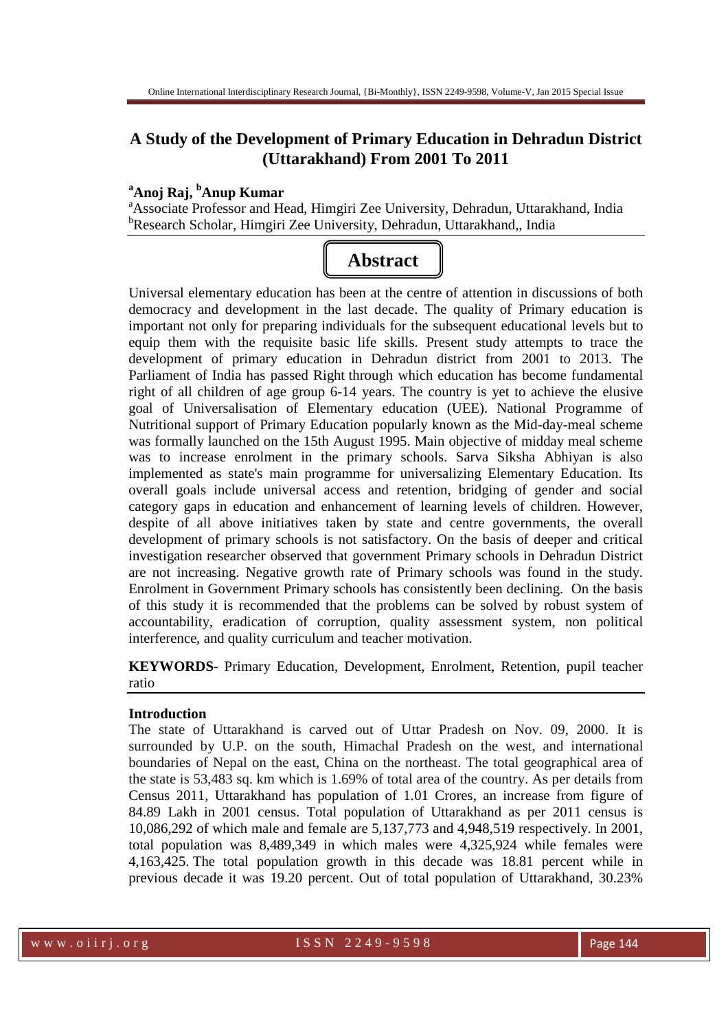# **A Study of the Development of Primary Education in Dehradun District (Uttarakhand) From 2001 To 2011**

# **<sup>a</sup>Anoj Raj, <sup>b</sup>Anup Kumar**

<sup>a</sup>Associate Professor and Head, Himgiri Zee University, Dehradun, Uttarakhand, India <sup>b</sup>Research Scholar, Himgiri Zee University, Dehradun, Uttarakhand,, India



Universal elementary education has been at the centre of attention in discussions of both democracy and development in the last decade. The quality of Primary education is important not only for preparing individuals for the subsequent educational levels but to equip them with the requisite basic life skills. Present study attempts to trace the development of primary education in Dehradun district from 2001 to 2013. The Parliament of India has passed Right through which education has become fundamental right of all children of age group 6-14 years. The country is yet to achieve the elusive goal of Universalisation of Elementary education (UEE). National Programme of Nutritional support of Primary Education popularly known as the Mid-day-meal scheme was formally launched on the 15th August 1995. Main objective of midday meal scheme was to increase enrolment in the primary schools. Sarva Siksha Abhiyan is also implemented as state's main programme for universalizing Elementary Education. Its overall goals include universal access and retention, bridging of gender and social category gaps in education and enhancement of learning levels of children. However, despite of all above initiatives taken by state and centre governments, the overall development of primary schools is not satisfactory. On the basis of deeper and critical investigation researcher observed that government Primary schools in Dehradun District are not increasing. Negative growth rate of Primary schools was found in the study. Enrolment in Government Primary schools has consistently been declining. On the basis of this study it is recommended that the problems can be solved by robust system of accountability, eradication of corruption, quality assessment system, non political interference, and quality curriculum and teacher motivation.

**KEYWORDS-** Primary Education, Development, Enrolment, Retention, pupil teacher ratio

# **Introduction**

The state of Uttarakhand is carved out of Uttar Pradesh on Nov. 09, 2000. It is surrounded by U.P. on the south, Himachal Pradesh on the west, and international boundaries of Nepal on the east, China on the northeast. The total geographical area of the state is 53,483 sq. km which is 1.69% of total area of the country. As per details from Census 2011, Uttarakhand has population of 1.01 Crores, an increase from figure of 84.89 Lakh in 2001 census. Total population of Uttarakhand as per 2011 census is 10,086,292 of which male and female are 5,137,773 and 4,948,519 respectively. In 2001, total population was 8,489,349 in which males were 4,325,924 while females were 4,163,425. The total population growth in this decade was 18.81 percent while in previous decade it was 19.20 percent. Out of total population of Uttarakhand, 30.23%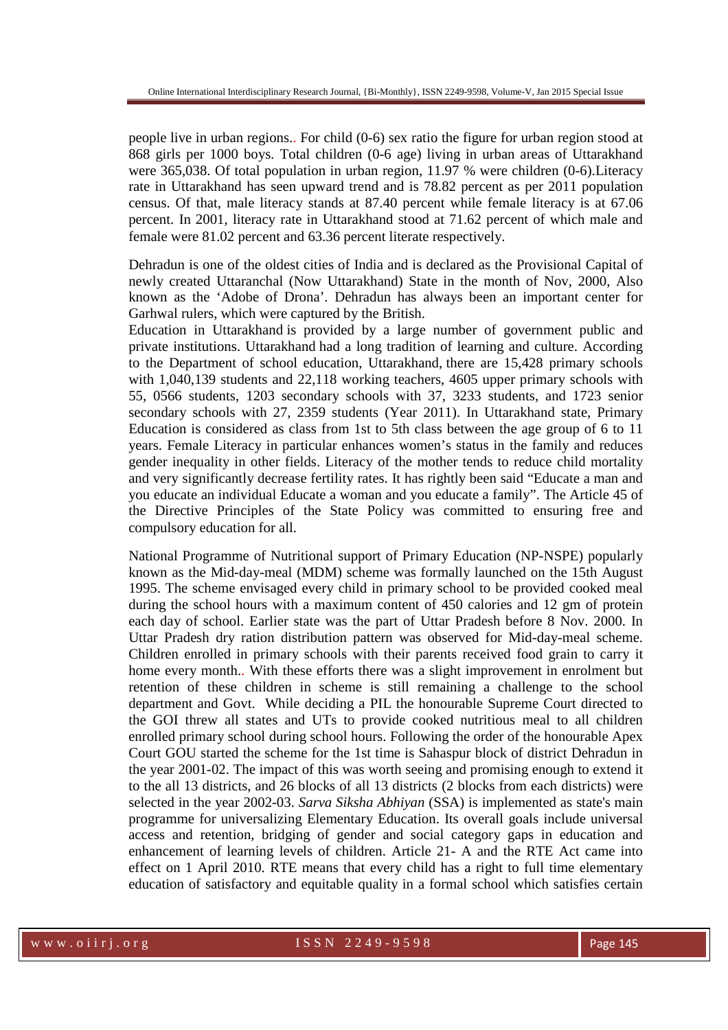people live in urban regions.. For child (0-6) sex ratio the figure for urban region stood at 868 girls per 1000 boys. Total children (0-6 age) living in urban areas of Uttarakhand were 365,038. Of total population in urban region, 11.97 % were children (0-6). Literacy rate in Uttarakhand has seen upward trend and is 78.82 percent as per 2011 population census. Of that, male literacy stands at 87.40 percent while female literacy is at 67.06 percent. In 2001, literacy rate in Uttarakhand stood at 71.62 percent of which male and female were 81.02 percent and 63.36 percent literate respectively.

Dehradun is one of the oldest cities of India and is declared as the Provisional Capital of newly created Uttaranchal (Now Uttarakhand) State in the month of Nov, 2000, Also known as the 'Adobe of Drona'. Dehradun has always been an important center for Garhwal rulers, which were captured by the British.

Education in Uttarakhand is provided by a large number of government public and private institutions. Uttarakhand had a long tradition of learning and culture. According to the Department of school education, Uttarakhand, there are 15,428 primary schools with 1,040,139 students and 22,118 working teachers, 4605 upper primary schools with 55, 0566 students, 1203 secondary schools with 37, 3233 students, and 1723 senior secondary schools with 27, 2359 students (Year 2011). In Uttarakhand state, Primary Education is considered as class from 1st to 5th class between the age group of 6 to 11 years. Female Literacy in particular enhances women's status in the family and reduces gender inequality in other fields. Literacy of the mother tends to reduce child mortality and very significantly decrease fertility rates. It has rightly been said "Educate a man and you educate an individual Educate a woman and you educate a family". The Article 45 of the Directive Principles of the State Policy was committed to ensuring free and compulsory education for all.

National Programme of Nutritional support of Primary Education (NP-NSPE) popularly known as the Mid-day-meal (MDM) scheme was formally launched on the 15th August 1995. The scheme envisaged every child in primary school to be provided cooked meal during the school hours with a maximum content of 450 calories and 12 gm of protein each day of school. Earlier state was the part of Uttar Pradesh before 8 Nov. 2000. In Uttar Pradesh dry ration distribution pattern was observed for Mid-day-meal scheme. Children enrolled in primary schools with their parents received food grain to carry it home every month.. With these efforts there was a slight improvement in enrolment but retention of these children in scheme is still remaining a challenge to the school department and Govt. While deciding a PIL the honourable Supreme Court directed to the GOI threw all states and UTs to provide cooked nutritious meal to all children enrolled primary school during school hours. Following the order of the honourable Apex Court GOU started the scheme for the 1st time is Sahaspur block of district Dehradun in the year 2001-02. The impact of this was worth seeing and promising enough to extend it to the all 13 districts, and 26 blocks of all 13 districts (2 blocks from each districts) were selected in the year 2002-03. *Sarva Siksha Abhiyan* (SSA) is implemented as state's main programme for universalizing Elementary Education. Its overall goals include universal access and retention, bridging of gender and social category gaps in education and enhancement of learning levels of children. Article 21- A and the RTE Act came into effect on 1 April 2010. RTE means that every child has a right to full time elementary education of satisfactory and equitable quality in a formal school which satisfies certain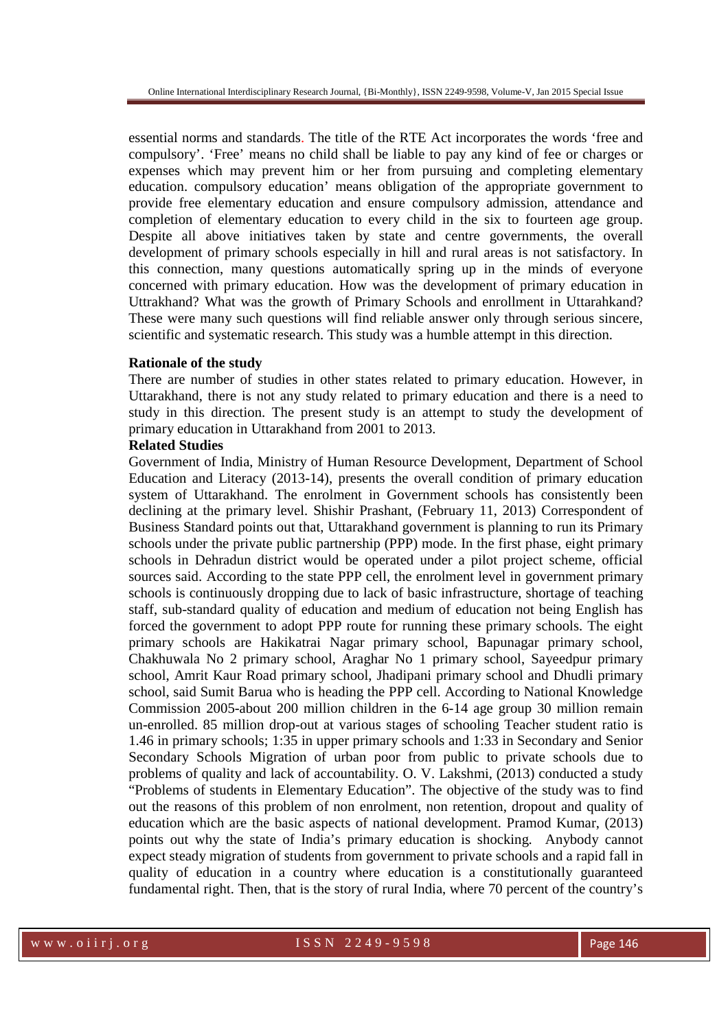essential norms and standards. The title of the RTE Act incorporates the words 'free and compulsory'. 'Free' means no child shall be liable to pay any kind of fee or charges or expenses which may prevent him or her from pursuing and completing elementary education. compulsory education' means obligation of the appropriate government to provide free elementary education and ensure compulsory admission, attendance and completion of elementary education to every child in the six to fourteen age group. Despite all above initiatives taken by state and centre governments, the overall development of primary schools especially in hill and rural areas is not satisfactory. In this connection, many questions automatically spring up in the minds of everyone concerned with primary education. How was the development of primary education in Uttrakhand? What was the growth of Primary Schools and enrollment in Uttarahkand? These were many such questions will find reliable answer only through serious sincere, scientific and systematic research. This study was a humble attempt in this direction.

#### **Rationale of the study**

There are number of studies in other states related to primary education. However, in Uttarakhand, there is not any study related to primary education and there is a need to study in this direction. The present study is an attempt to study the development of primary education in Uttarakhand from 2001 to 2013.

#### **Related Studies**

Government of India, Ministry of Human Resource Development, Department of School Education and Literacy (2013-14), presents the overall condition of primary education system of Uttarakhand. The enrolment in Government schools has consistently been declining at the primary level. Shishir Prashant, (February 11, 2013) Correspondent of Business Standard points out that, Uttarakhand government is planning to run its Primary schools under the private public partnership (PPP) mode. In the first phase, eight primary schools in Dehradun district would be operated under a pilot project scheme, official sources said. According to the state PPP cell, the enrolment level in government primary schools is continuously dropping due to lack of basic infrastructure, shortage of teaching staff, sub-standard quality of education and medium of education not being English has forced the government to adopt PPP route for running these primary schools. The eight primary schools are Hakikatrai Nagar primary school, Bapunagar primary school, Chakhuwala No 2 primary school, Araghar No 1 primary school, Sayeedpur primary school, Amrit Kaur Road primary school, Jhadipani primary school and Dhudli primary school, said Sumit Barua who is heading the PPP cell. According to National Knowledge Commission 2005-about 200 million children in the 6-14 age group 30 million remain un-enrolled. 85 million drop-out at various stages of schooling Teacher student ratio is 1.46 in primary schools; 1:35 in upper primary schools and 1:33 in Secondary and Senior Secondary Schools Migration of urban poor from public to private schools due to problems of quality and lack of accountability. O. V. Lakshmi, (2013) conducted a study "Problems of students in Elementary Education". The objective of the study was to find out the reasons of this problem of non enrolment, non retention, dropout and quality of education which are the basic aspects of national development. Pramod Kumar, (2013) points out why the state of India's primary education is shocking. Anybody cannot expect steady migration of students from government to private schools and a rapid fall in quality of education in a country where education is a constitutionally guaranteed fundamental right. Then, that is the story of rural India, where 70 percent of the country's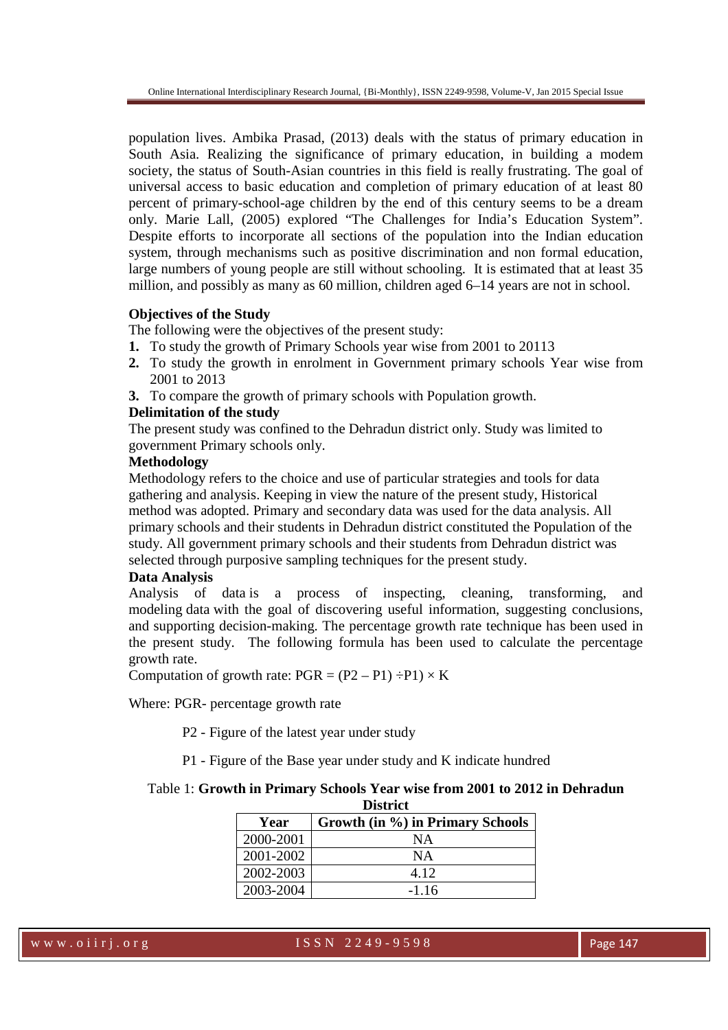population lives. Ambika Prasad, (2013) deals with the status of primary education in South Asia. Realizing the significance of primary education, in building a modem society, the status of South-Asian countries in this field is really frustrating. The goal of universal access to basic education and completion of primary education of at least 80 percent of primary-school-age children by the end of this century seems to be a dream only. Marie Lall, (2005) explored "The Challenges for India's Education System". Despite efforts to incorporate all sections of the population into the Indian education system, through mechanisms such as positive discrimination and non formal education, large numbers of young people are still without schooling. It is estimated that at least 35 million, and possibly as many as 60 million, children aged 6–14 years are not in school.

# **Objectives of the Study**

The following were the objectives of the present study:

- **1.** To study the growth of Primary Schools year wise from 2001 to 20113
- **2.** To study the growth in enrolment in Government primary schools Year wise from 2001 to 2013
- **3.** To compare the growth of primary schools with Population growth.

# **Delimitation of the study**

The present study was confined to the Dehradun district only. Study was limited to government Primary schools only.

# **Methodology**

Methodology refers to the choice and use of particular strategies and tools for data gathering and analysis. Keeping in view the nature of the present study, Historical method was adopted. Primary and secondary data was used for the data analysis. All primary schools and their students in Dehradun district constituted the Population of the study. All government primary schools and their students from Dehradun district was selected through purposive sampling techniques for the present study.

# **Data Analysis**

Analysis of data is a process of inspecting, cleaning, transforming, and modeling data with the goal of discovering useful information, suggesting conclusions, and supporting decision-making. The percentage growth rate technique has been used in the present study. The following formula has been used to calculate the percentage growth rate.

Computation of growth rate:  $PGR = (P2 - P1) \div P1) \times K$ 

Where: PGR- percentage growth rate

P2 - Figure of the latest year under study

P1 - Figure of the Base year under study and K indicate hundred

#### Table 1: **Growth in Primary Schools Year wise from 2001 to 2012 in Dehradun**   $D: \mathcal{L} \to \mathcal{L}$

| глянс     |                                  |  |  |  |
|-----------|----------------------------------|--|--|--|
| Year      | Growth (in %) in Primary Schools |  |  |  |
| 2000-2001 | ΝA                               |  |  |  |
| 2001-2002 | ΝA                               |  |  |  |
| 2002-2003 | 4.12                             |  |  |  |
| 2003-2004 | $-1.16$                          |  |  |  |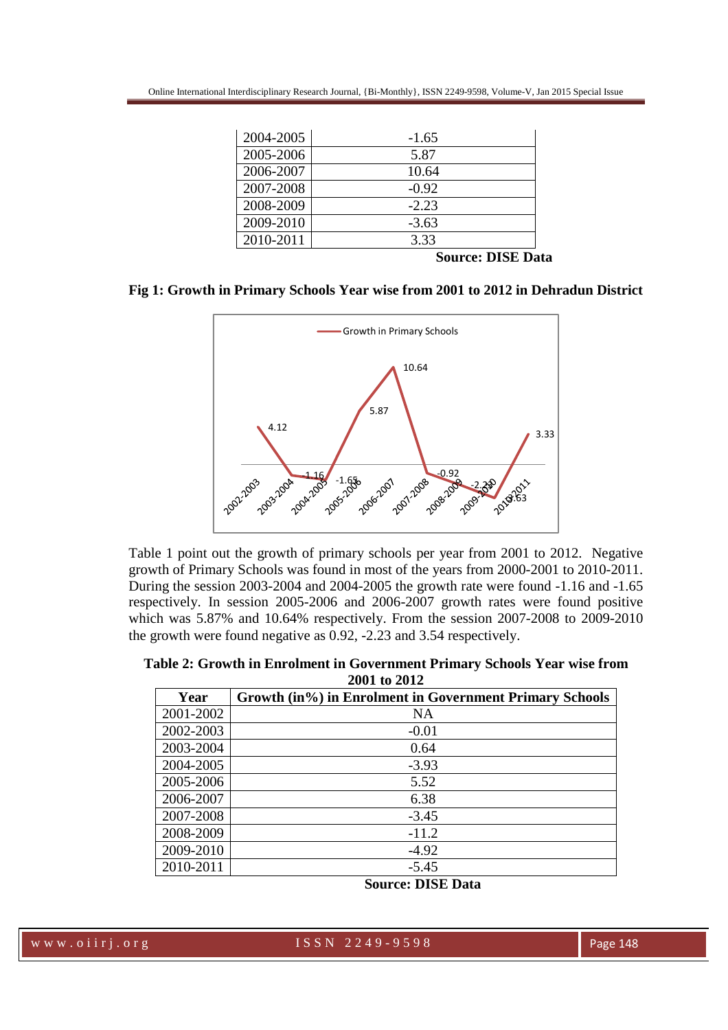| 2004-2005 | $-1.65$ |
|-----------|---------|
| 2005-2006 | 5.87    |
| 2006-2007 | 10.64   |
| 2007-2008 | $-0.92$ |
| 2008-2009 | $-2.23$ |
| 2009-2010 | $-3.63$ |
| 2010-2011 | 3.33    |

 **Source: DISE Data** 





Table 1 point out the growth of primary schools per year from 2001 to 2012. Negative growth of Primary Schools was found in most of the years from 2000-2001 to 2010-2011. During the session 2003-2004 and 2004-2005 the growth rate were found -1.16 and -1.65 respectively. In session 2005-2006 and 2006-2007 growth rates were found positive which was 5.87% and 10.64% respectively. From the session 2007-2008 to 2009-2010 the growth were found negative as 0.92, -2.23 and 3.54 respectively.

| Table 2: Growth in Enrolment in Government Primary Schools Year wise from |              |  |
|---------------------------------------------------------------------------|--------------|--|
|                                                                           | 2001 to 2012 |  |

| Year      | Growth (in%) in Enrolment in Government Primary Schools |
|-----------|---------------------------------------------------------|
| 2001-2002 | <b>NA</b>                                               |
| 2002-2003 | $-0.01$                                                 |
| 2003-2004 | 0.64                                                    |
| 2004-2005 | $-3.93$                                                 |
| 2005-2006 | 5.52                                                    |
| 2006-2007 | 6.38                                                    |
| 2007-2008 | $-3.45$                                                 |
| 2008-2009 | $-11.2$                                                 |
| 2009-2010 | $-4.92$                                                 |
| 2010-2011 | $-5.45$                                                 |

**Source: DISE Data** 

www.oiirj.org ISSN 2249-9598 Page 148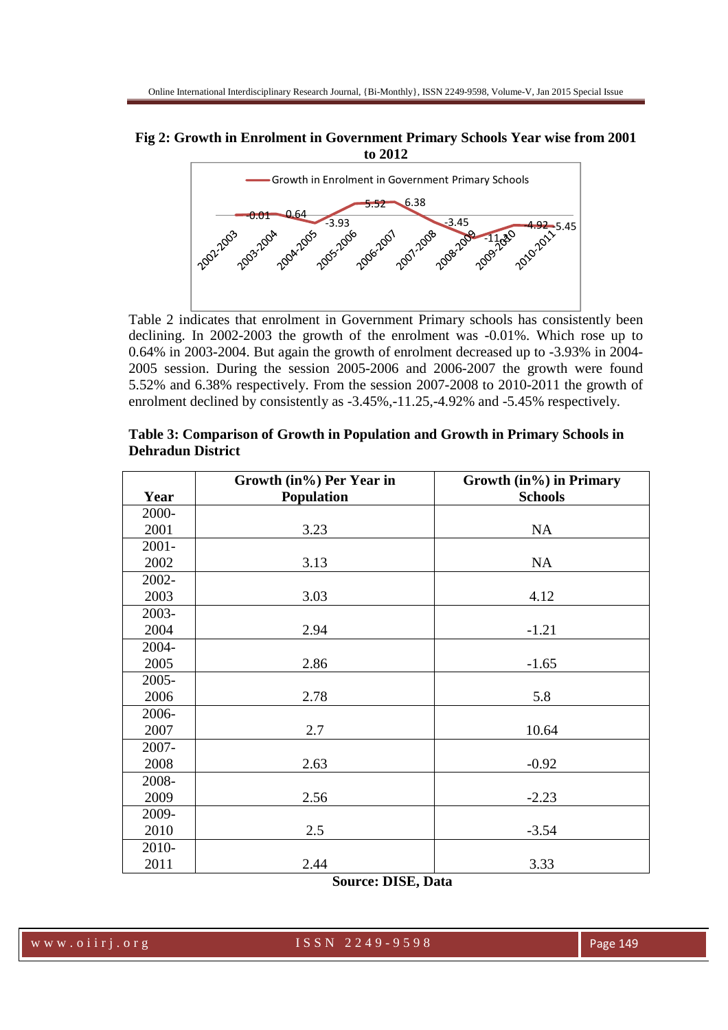# **Fig 2: Growth in Enrolment in Government Primary Schools Year wise from 2001 to 2012**



Table 2 indicates that enrolment in Government Primary schools has consistently been declining. In 2002-2003 the growth of the enrolment was -0.01%. Which rose up to 0.64% in 2003-2004. But again the growth of enrolment decreased up to -3.93% in 2004- 2005 session. During the session 2005-2006 and 2006-2007 the growth were found 5.52% and 6.38% respectively. From the session 2007-2008 to 2010-2011 the growth of enrolment declined by consistently as -3.45%,-11.25,-4.92% and -5.45% respectively.

|          | Growth (in%) Per Year in | Growth (in%) in Primary |
|----------|--------------------------|-------------------------|
| Year     | <b>Population</b>        | <b>Schools</b>          |
| 2000-    |                          |                         |
| 2001     | 3.23                     | <b>NA</b>               |
| $2001 -$ |                          |                         |
| 2002     | 3.13                     | <b>NA</b>               |
| 2002-    |                          |                         |
| 2003     | 3.03                     | 4.12                    |
| 2003-    |                          |                         |
| 2004     | 2.94                     | $-1.21$                 |
| 2004-    |                          |                         |
| 2005     | 2.86                     | $-1.65$                 |
| $2005 -$ |                          |                         |
| 2006     | 2.78                     | 5.8                     |
| 2006-    |                          |                         |
| 2007     | 2.7                      | 10.64                   |
| 2007-    |                          |                         |
| 2008     | 2.63                     | $-0.92$                 |
| 2008-    |                          |                         |
| 2009     | 2.56                     | $-2.23$                 |
| 2009-    |                          |                         |
| 2010     | 2.5                      | $-3.54$                 |
| 2010-    |                          |                         |
| 2011     | 2.44                     | 3.33                    |

| Table 3: Comparison of Growth in Population and Growth in Primary Schools in |  |
|------------------------------------------------------------------------------|--|
| <b>Dehradun District</b>                                                     |  |

 **Source: DISE, Data**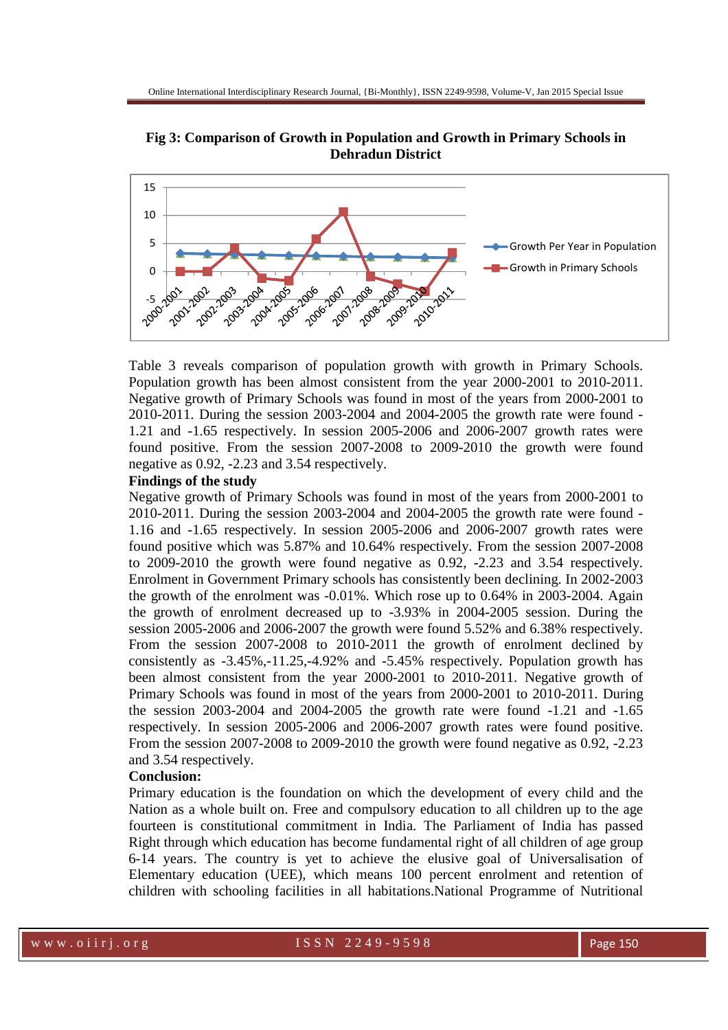**Fig 3: Comparison of Growth in Population and Growth in Primary Schools in Dehradun District**



Table 3 reveals comparison of population growth with growth in Primary Schools. Population growth has been almost consistent from the year 2000-2001 to 2010-2011. Negative growth of Primary Schools was found in most of the years from 2000-2001 to 2010-2011. During the session 2003-2004 and 2004-2005 the growth rate were found - 1.21 and -1.65 respectively. In session 2005-2006 and 2006-2007 growth rates were found positive. From the session 2007-2008 to 2009-2010 the growth were found negative as 0.92, -2.23 and 3.54 respectively.

#### **Findings of the study**

Negative growth of Primary Schools was found in most of the years from 2000-2001 to 2010-2011. During the session 2003-2004 and 2004-2005 the growth rate were found - 1.16 and -1.65 respectively. In session 2005-2006 and 2006-2007 growth rates were found positive which was 5.87% and 10.64% respectively. From the session 2007-2008 to 2009-2010 the growth were found negative as 0.92, -2.23 and 3.54 respectively. Enrolment in Government Primary schools has consistently been declining. In 2002-2003 the growth of the enrolment was -0.01%. Which rose up to 0.64% in 2003-2004. Again the growth of enrolment decreased up to -3.93% in 2004-2005 session. During the session 2005-2006 and 2006-2007 the growth were found 5.52% and 6.38% respectively. From the session 2007-2008 to 2010-2011 the growth of enrolment declined by consistently as -3.45%,-11.25,-4.92% and -5.45% respectively. Population growth has been almost consistent from the year 2000-2001 to 2010-2011. Negative growth of Primary Schools was found in most of the years from 2000-2001 to 2010-2011. During the session 2003-2004 and 2004-2005 the growth rate were found -1.21 and -1.65 respectively. In session 2005-2006 and 2006-2007 growth rates were found positive. From the session 2007-2008 to 2009-2010 the growth were found negative as 0.92, -2.23 and 3.54 respectively.

# **Conclusion:**

Primary education is the foundation on which the development of every child and the Nation as a whole built on. Free and compulsory education to all children up to the age fourteen is constitutional commitment in India. The Parliament of India has passed Right through which education has become fundamental right of all children of age group 6-14 years. The country is yet to achieve the elusive goal of Universalisation of Elementary education (UEE), which means 100 percent enrolment and retention of children with schooling facilities in all habitations.National Programme of Nutritional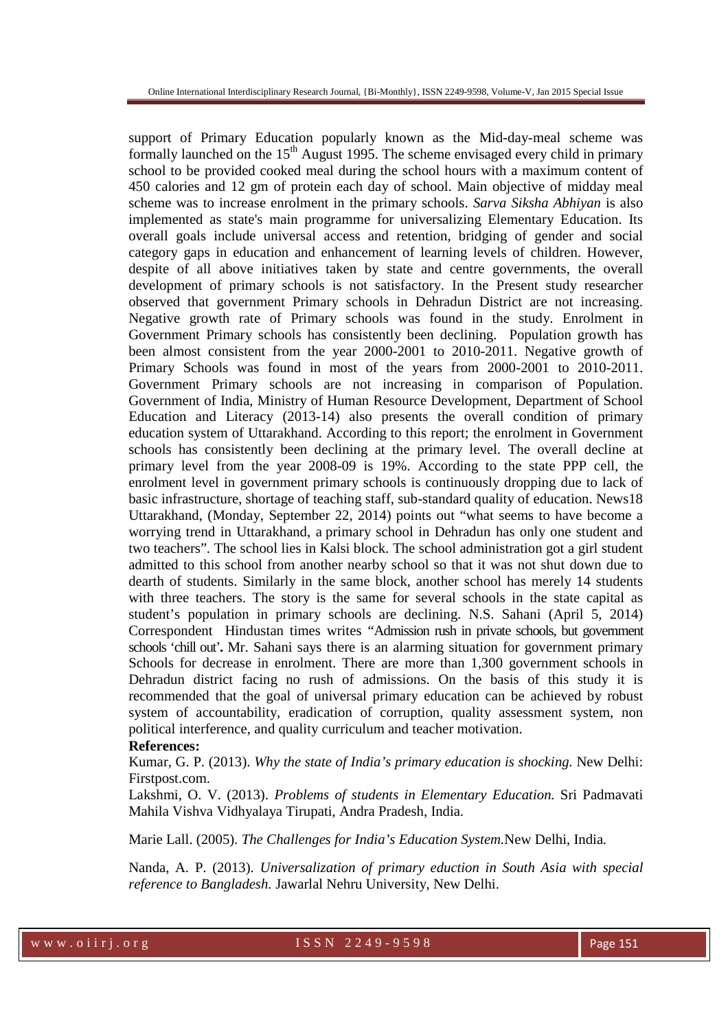support of Primary Education popularly known as the Mid-day-meal scheme was formally launched on the  $15<sup>th</sup>$  August 1995. The scheme envisaged every child in primary school to be provided cooked meal during the school hours with a maximum content of 450 calories and 12 gm of protein each day of school. Main objective of midday meal scheme was to increase enrolment in the primary schools. *Sarva Siksha Abhiyan* is also implemented as state's main programme for universalizing Elementary Education. Its overall goals include universal access and retention, bridging of gender and social category gaps in education and enhancement of learning levels of children. However, despite of all above initiatives taken by state and centre governments, the overall development of primary schools is not satisfactory. In the Present study researcher observed that government Primary schools in Dehradun District are not increasing. Negative growth rate of Primary schools was found in the study. Enrolment in Government Primary schools has consistently been declining. Population growth has been almost consistent from the year 2000-2001 to 2010-2011. Negative growth of Primary Schools was found in most of the years from 2000-2001 to 2010-2011. Government Primary schools are not increasing in comparison of Population. Government of India, Ministry of Human Resource Development, Department of School Education and Literacy (2013-14) also presents the overall condition of primary education system of Uttarakhand. According to this report; the enrolment in Government schools has consistently been declining at the primary level. The overall decline at primary level from the year 2008-09 is 19%. According to the state PPP cell, the enrolment level in government primary schools is continuously dropping due to lack of basic infrastructure, shortage of teaching staff, sub-standard quality of education. News18 Uttarakhand, (Monday, September 22, 2014) points out "what seems to have become a worrying trend in Uttarakhand, a primary school in Dehradun has only one student and two teachers". The school lies in Kalsi block. The school administration got a girl student admitted to this school from another nearby school so that it was not shut down due to dearth of students. Similarly in the same block, another school has merely 14 students with three teachers. The story is the same for several schools in the state capital as student's population in primary schools are declining. N.S. Sahani (April 5, 2014) Correspondent Hindustan times writes "Admission rush in private schools, but government schools 'chill out'**.** Mr. Sahani says there is an alarming situation for government primary Schools for decrease in enrolment. There are more than 1,300 government schools in Dehradun district facing no rush of admissions. On the basis of this study it is recommended that the goal of universal primary education can be achieved by robust system of accountability, eradication of corruption, quality assessment system, non political interference, and quality curriculum and teacher motivation.

#### **References:**

Kumar, G. P. (2013). *Why the state of India's primary education is shocking.* New Delhi: Firstpost.com.

Lakshmi, O. V. (2013). *Problems of students in Elementary Education.* Sri Padmavati Mahila Vishva Vidhyalaya Tirupati, Andra Pradesh, India.

Marie Lall. (2005). *The Challenges for India's Education System.*New Delhi, India.

Nanda, A. P. (2013). *Universalization of primary eduction in South Asia with special reference to Bangladesh.* Jawarlal Nehru University, New Delhi.